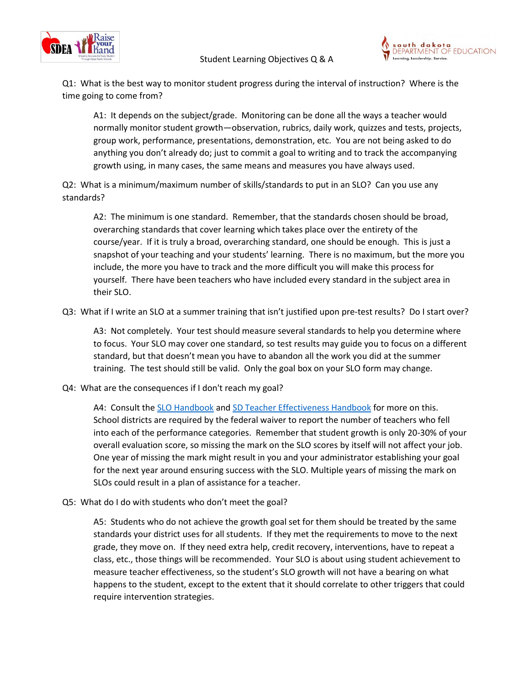



Q1: What is the best way to monitor student progress during the interval of instruction? Where is the time going to come from?

A1: It depends on the subject/grade. Monitoring can be done all the ways a teacher would normally monitor student growth—observation, rubrics, daily work, quizzes and tests, projects, group work, performance, presentations, demonstration, etc. You are not being asked to do anything you don't already do; just to commit a goal to writing and to track the accompanying growth using, in many cases, the same means and measures you have always used.

Q2: What is a minimum/maximum number of skills/standards to put in an SLO? Can you use any standards?

A2: The minimum is one standard. Remember, that the standards chosen should be broad, overarching standards that cover learning which takes place over the entirety of the course/year. If it is truly a broad, overarching standard, one should be enough. This is just a snapshot of your teaching and your students' learning. There is no maximum, but the more you include, the more you have to track and the more difficult you will make this process for yourself. There have been teachers who have included every standard in the subject area in their SLO.

Q3: What if I write an SLO at a summer training that isn't justified upon pre-test results? Do I start over?

A3: Not completely. Your test should measure several standards to help you determine where to focus. Your SLO may cover one standard, so test results may guide you to focus on a different standard, but that doesn't mean you have to abandon all the work you did at the summer training. The test should still be valid. Only the goal box on your SLO form may change.

Q4: What are the consequences if I don't reach my goal?

A4: Consult th[e SLO Handbook](https://doe.sd.gov/oatq/documents/SLObook-D.pdf) and [SD Teacher Effectiveness](http://doe.sd.gov/oatq/documents/TeachEff.pdf) Handbook for more on this. School districts are required by the federal waiver to report the number of teachers who fell into each of the performance categories. Remember that student growth is only 20-30% of your overall evaluation score, so missing the mark on the SLO scores by itself will not affect your job. One year of missing the mark might result in you and your administrator establishing your goal for the next year around ensuring success with the SLO. Multiple years of missing the mark on SLOs could result in a plan of assistance for a teacher.

Q5: What do I do with students who don't meet the goal?

A5: Students who do not achieve the growth goal set for them should be treated by the same standards your district uses for all students. If they met the requirements to move to the next grade, they move on. If they need extra help, credit recovery, interventions, have to repeat a class, etc., those things will be recommended. Your SLO is about using student achievement to measure teacher effectiveness, so the student's SLO growth will not have a bearing on what happens to the student, except to the extent that it should correlate to other triggers that could require intervention strategies.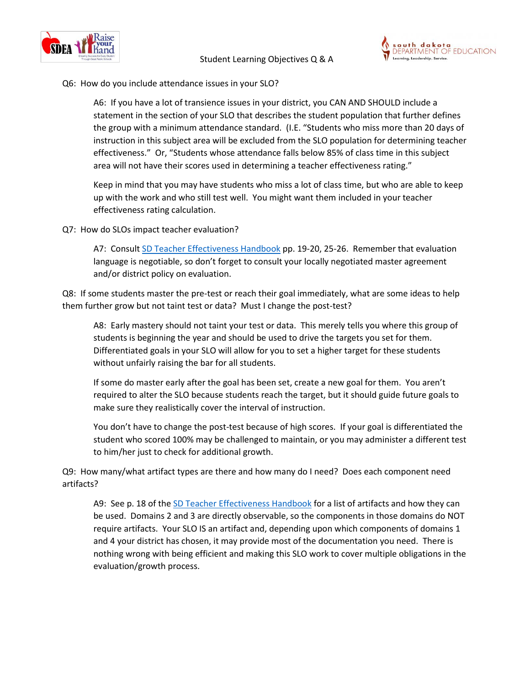



Q6: How do you include attendance issues in your SLO?

A6: If you have a lot of transience issues in your district, you CAN AND SHOULD include a statement in the section of your SLO that describes the student population that further defines the group with a minimum attendance standard. (I.E. "Students who miss more than 20 days of instruction in this subject area will be excluded from the SLO population for determining teacher effectiveness." Or, "Students whose attendance falls below 85% of class time in this subject area will not have their scores used in determining a teacher effectiveness rating."

Keep in mind that you may have students who miss a lot of class time, but who are able to keep up with the work and who still test well. You might want them included in your teacher effectiveness rating calculation.

Q7: How do SLOs impact teacher evaluation?

A7: Consult [SD Teacher Effectiveness](http://doe.sd.gov/oatq/documents/TeachEff.pdf) Handbook pp. 19-20, 25-26. Remember that evaluation language is negotiable, so don't forget to consult your locally negotiated master agreement and/or district policy on evaluation.

Q8: If some students master the pre-test or reach their goal immediately, what are some ideas to help them further grow but not taint test or data? Must I change the post-test?

A8: Early mastery should not taint your test or data. This merely tells you where this group of students is beginning the year and should be used to drive the targets you set for them. Differentiated goals in your SLO will allow for you to set a higher target for these students without unfairly raising the bar for all students.

If some do master early after the goal has been set, create a new goal for them. You aren't required to alter the SLO because students reach the target, but it should guide future goals to make sure they realistically cover the interval of instruction.

You don't have to change the post-test because of high scores. If your goal is differentiated the student who scored 100% may be challenged to maintain, or you may administer a different test to him/her just to check for additional growth.

Q9: How many/what artifact types are there and how many do I need? Does each component need artifacts?

A9: See p. 18 of the [SD Teacher Effectiveness](http://doe.sd.gov/oatq/documents/TeachEff.pdf) Handbook for a list of artifacts and how they can be used. Domains 2 and 3 are directly observable, so the components in those domains do NOT require artifacts. Your SLO IS an artifact and, depending upon which components of domains 1 and 4 your district has chosen, it may provide most of the documentation you need. There is nothing wrong with being efficient and making this SLO work to cover multiple obligations in the evaluation/growth process.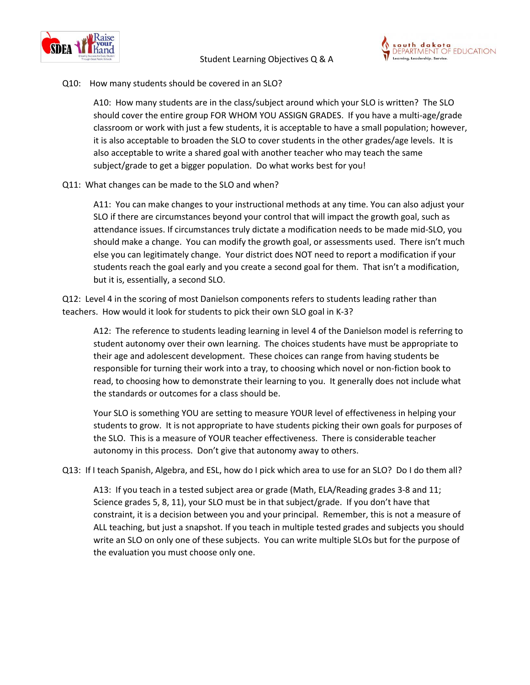



### Q10: How many students should be covered in an SLO?

A10: How many students are in the class/subject around which your SLO is written? The SLO should cover the entire group FOR WHOM YOU ASSIGN GRADES. If you have a multi-age/grade classroom or work with just a few students, it is acceptable to have a small population; however, it is also acceptable to broaden the SLO to cover students in the other grades/age levels. It is also acceptable to write a shared goal with another teacher who may teach the same subject/grade to get a bigger population. Do what works best for you!

# Q11: What changes can be made to the SLO and when?

A11: You can make changes to your instructional methods at any time. You can also adjust your SLO if there are circumstances beyond your control that will impact the growth goal, such as attendance issues. If circumstances truly dictate a modification needs to be made mid-SLO, you should make a change. You can modify the growth goal, or assessments used. There isn't much else you can legitimately change. Your district does NOT need to report a modification if your students reach the goal early and you create a second goal for them. That isn't a modification, but it is, essentially, a second SLO.

Q12: Level 4 in the scoring of most Danielson components refers to students leading rather than teachers. How would it look for students to pick their own SLO goal in K-3?

A12: The reference to students leading learning in level 4 of the Danielson model is referring to student autonomy over their own learning. The choices students have must be appropriate to their age and adolescent development. These choices can range from having students be responsible for turning their work into a tray, to choosing which novel or non-fiction book to read, to choosing how to demonstrate their learning to you. It generally does not include what the standards or outcomes for a class should be.

Your SLO is something YOU are setting to measure YOUR level of effectiveness in helping your students to grow. It is not appropriate to have students picking their own goals for purposes of the SLO. This is a measure of YOUR teacher effectiveness. There is considerable teacher autonomy in this process. Don't give that autonomy away to others.

### Q13: If I teach Spanish, Algebra, and ESL, how do I pick which area to use for an SLO? Do I do them all?

A13: If you teach in a tested subject area or grade (Math, ELA/Reading grades 3-8 and 11; Science grades 5, 8, 11), your SLO must be in that subject/grade. If you don't have that constraint, it is a decision between you and your principal. Remember, this is not a measure of ALL teaching, but just a snapshot. If you teach in multiple tested grades and subjects you should write an SLO on only one of these subjects. You can write multiple SLOs but for the purpose of the evaluation you must choose only one.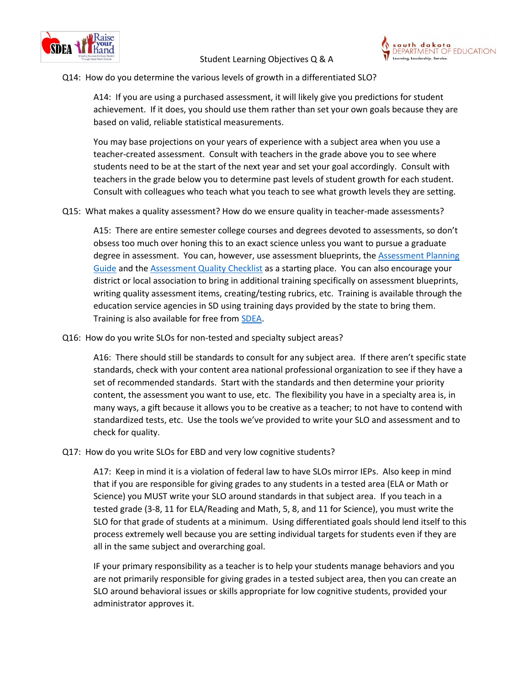



# Q14: How do you determine the various levels of growth in a differentiated SLO?

A14: If you are using a purchased assessment, it will likely give you predictions for student achievement. If it does, you should use them rather than set your own goals because they are based on valid, reliable statistical measurements.

You may base projections on your years of experience with a subject area when you use a teacher-created assessment. Consult with teachers in the grade above you to see where students need to be at the start of the next year and set your goal accordingly. Consult with teachers in the grade below you to determine past levels of student growth for each student. Consult with colleagues who teach what you teach to see what growth levels they are setting.

Q15: What makes a quality assessment? How do we ensure quality in teacher-made assessments?

A15: There are entire semester college courses and degrees devoted to assessments, so don't obsess too much over honing this to an exact science unless you want to pursue a graduate degree in assessment. You can, however, use assessment blueprints, the Assessment Planning [Guide](https://doe.sd.gov/secretary/documents/SLOPlannG.pdf) and th[e Assessment Quality Checklist](https://doe.sd.gov/secretary/documents/SLOCheckl.pdf) as a starting place. You can also encourage your district or local association to bring in additional training specifically on assessment blueprints, writing quality assessment items, creating/testing rubrics, etc. Training is available through the education service agencies in SD using training days provided by the state to bring them. Training is also available for free from **SDEA**.

Q16: How do you write SLOs for non-tested and specialty subject areas?

A16: There should still be standards to consult for any subject area. If there aren't specific state standards, check with your content area national professional organization to see if they have a set of recommended standards. Start with the standards and then determine your priority content, the assessment you want to use, etc. The flexibility you have in a specialty area is, in many ways, a gift because it allows you to be creative as a teacher; to not have to contend with standardized tests, etc. Use the tools we've provided to write your SLO and assessment and to check for quality.

### Q17: How do you write SLOs for EBD and very low cognitive students?

A17: Keep in mind it is a violation of federal law to have SLOs mirror IEPs. Also keep in mind that if you are responsible for giving grades to any students in a tested area (ELA or Math or Science) you MUST write your SLO around standards in that subject area. If you teach in a tested grade (3-8, 11 for ELA/Reading and Math, 5, 8, and 11 for Science), you must write the SLO for that grade of students at a minimum. Using differentiated goals should lend itself to this process extremely well because you are setting individual targets for students even if they are all in the same subject and overarching goal.

IF your primary responsibility as a teacher is to help your students manage behaviors and you are not primarily responsible for giving grades in a tested subject area, then you can create an SLO around behavioral issues or skills appropriate for low cognitive students, provided your administrator approves it.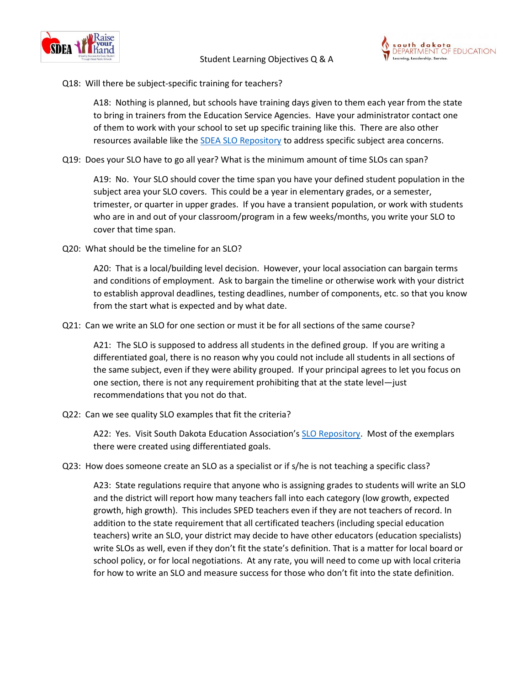



# Q18: Will there be subject-specific training for teachers?

A18: Nothing is planned, but schools have training days given to them each year from the state to bring in trainers from the Education Service Agencies. Have your administrator contact one of them to work with your school to set up specific training like this. There are also other resources available like th[e SDEA SLO Repository](http://www.sdea.org/home/sdeaslorepository.htm) to address specific subject area concerns.

Q19: Does your SLO have to go all year? What is the minimum amount of time SLOs can span?

A19: No. Your SLO should cover the time span you have your defined student population in the subject area your SLO covers. This could be a year in elementary grades, or a semester, trimester, or quarter in upper grades. If you have a transient population, or work with students who are in and out of your classroom/program in a few weeks/months, you write your SLO to cover that time span.

Q20: What should be the timeline for an SLO?

A20: That is a local/building level decision. However, your local association can bargain terms and conditions of employment. Ask to bargain the timeline or otherwise work with your district to establish approval deadlines, testing deadlines, number of components, etc. so that you know from the start what is expected and by what date.

Q21: Can we write an SLO for one section or must it be for all sections of the same course?

A21: The SLO is supposed to address all students in the defined group. If you are writing a differentiated goal, there is no reason why you could not include all students in all sections of the same subject, even if they were ability grouped. If your principal agrees to let you focus on one section, there is not any requirement prohibiting that at the state level—just recommendations that you not do that.

Q22: Can we see quality SLO examples that fit the criteria?

A22: Yes. Visit South Dakota Education Association's [SLO Repository.](http://www.sdea.org/home/sdeaslorepository.htm) Most of the exemplars there were created using differentiated goals.

Q23: How does someone create an SLO as a specialist or if s/he is not teaching a specific class?

A23: State regulations require that anyone who is assigning grades to students will write an SLO and the district will report how many teachers fall into each category (low growth, expected growth, high growth). This includes SPED teachers even if they are not teachers of record. In addition to the state requirement that all certificated teachers (including special education teachers) write an SLO, your district may decide to have other educators (education specialists) write SLOs as well, even if they don't fit the state's definition. That is a matter for local board or school policy, or for local negotiations. At any rate, you will need to come up with local criteria for how to write an SLO and measure success for those who don't fit into the state definition.